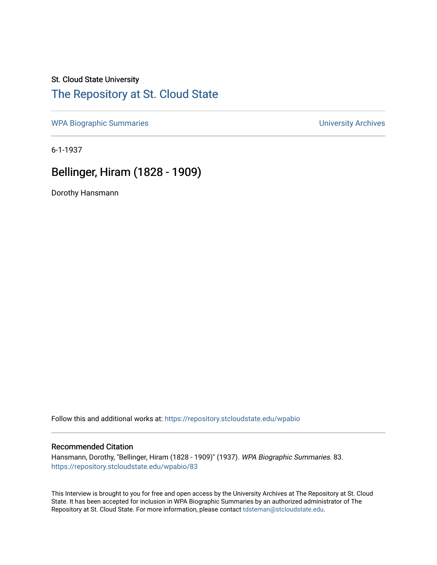## St. Cloud State University

## [The Repository at St. Cloud State](https://repository.stcloudstate.edu/)

[WPA Biographic Summaries](https://repository.stcloudstate.edu/wpabio) **WPA Biographic Summaries University Archives** 

6-1-1937

# Bellinger, Hiram (1828 - 1909)

Dorothy Hansmann

Follow this and additional works at: [https://repository.stcloudstate.edu/wpabio](https://repository.stcloudstate.edu/wpabio?utm_source=repository.stcloudstate.edu%2Fwpabio%2F83&utm_medium=PDF&utm_campaign=PDFCoverPages) 

#### Recommended Citation

Hansmann, Dorothy, "Bellinger, Hiram (1828 - 1909)" (1937). WPA Biographic Summaries. 83. [https://repository.stcloudstate.edu/wpabio/83](https://repository.stcloudstate.edu/wpabio/83?utm_source=repository.stcloudstate.edu%2Fwpabio%2F83&utm_medium=PDF&utm_campaign=PDFCoverPages)

This Interview is brought to you for free and open access by the University Archives at The Repository at St. Cloud State. It has been accepted for inclusion in WPA Biographic Summaries by an authorized administrator of The Repository at St. Cloud State. For more information, please contact [tdsteman@stcloudstate.edu.](mailto:tdsteman@stcloudstate.edu)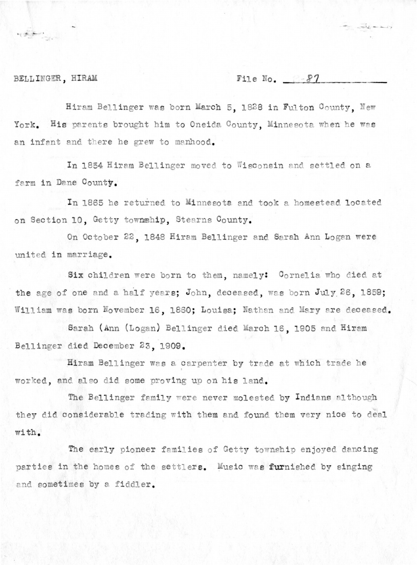#### BELLINGER, HIRAM

 $\mathbf{E}=\sum_{i=1}^{n}\sum_{j=1}^{n}(\mathbf{E}_{i}^{(i)},\mathbf{E}_{j}^{(i)})\mathbf{E}_{j}^{(i)},\mathbf{E}_{j}^{(i)},\mathbf{E}_{j}^{(i)},\mathbf{E}_{j}^{(i)},\mathbf{E}_{j}^{(i)},\mathbf{E}_{j}^{(i)},\mathbf{E}_{j}^{(i)},\mathbf{E}_{j}^{(i)},\mathbf{E}_{j}^{(i)},\mathbf{E}_{j}^{(i)},\mathbf{E}_{j}^{(i)},\mathbf{E}_{j}^{(i)},\mathbf{E}_{j}^{(i)},\mathbf{E}_{j}^{(i)},\mathbf$ 

File No.  $8-87$ 

 $+ - - - - - - - - -$ 

Hiram Bellinger was born March 5, 1828 in Fulton County, New York. His parents brought him to Oneida County, Minnesota when he was an infant and there he grew to manhood.

In 1854 Hiram Bellinger moved to Wisconsin and settled on a farm in Dane County.

In 1865 he returned to Minnesota and took a homestead located on Section 10, Getty township, Stearns County.

On October 22, 1848 Hiram Bellinger and Sarah Ann Logan were united in marriage.

Six children were born to them, namely: Cornelia who died at the age of one and a half years; John, deceased, was born July 26, 1859; William was born November 16, 1860; Louisa; Nathan and Mary are deceased.

Sarah (Ann (Logan) Bellinger died March 16, 1905 and Hiram Bellinger died December 23, 1909.

Hiram Bellinger was a carpenter by trade at which trade he worked, and also did some proving up on his land.

The Bellinger family were never molested by Indians although they did considerable trading with them and found them very nice to deal with.

The early pioneer families of Getty township enjoyed dancing parties in the homes of the settlers. Music was furnished by singing and sometimes by a fiddler.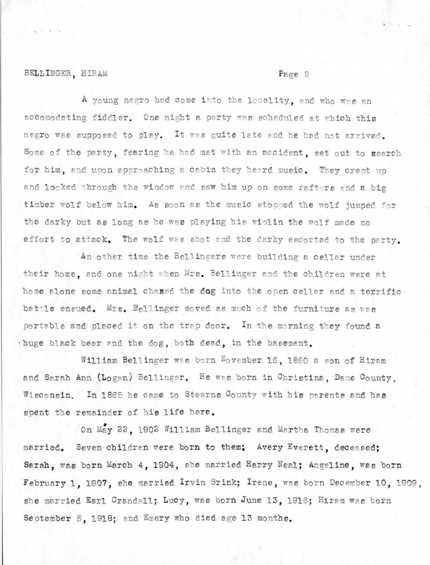### BELLINGER, HIRAM

#### Page 2

A young negro had come into the locality, and who was an accomodating fiddler. One night a party was scheduled at which this negro was supposed to play. It was quite late and he had not arrived. Some of the party, fearing he had met with an accident, set out to search for him, and upon approaching a cabin they heard music. They crept up and looked through the window and saw him up on some rafters and a big timber wolf below him. As soon as the music stopped the wolf jumped for the darky but as long as he was playing his violin the wolf made no effort to attack. The wolf was shot and the darky escorted to the party.

An other time the Bellingers were building a cellar under their home, and one night when Mrs. Bellinger and the children were at home alone some animal chased the dog into the open cellar and a terrific battle ensued. Mrs. Bellinger moved as much of the furniture as was portable and placed it on the trap door. In the morning they found a huge black bear and the dog, both dead, in the basement.

William Bellinger was born November 16, 1860 a son of Hiram and Sarah Ann (Logan) Bellinger. He was born in Christina, Dane County. Wisconsin. In 1865 he came to Stearns County with his parents and has spent the remainder of his life here.

On May 22, 1902 William Bellinger and Martha Thomas were married. Seven children were born to them: Avery Everett, deceased; Sarah, was born March 4, 1904, she married Harry Neal; Angeline, was born February 1, 1907, she married Irvin Brink; Irene, was born December 10, 1909, she married Earl Crandall; Lucy, was born June 13, 1916; Hiram was born September 5, 1918; and Emery who died age 13 months.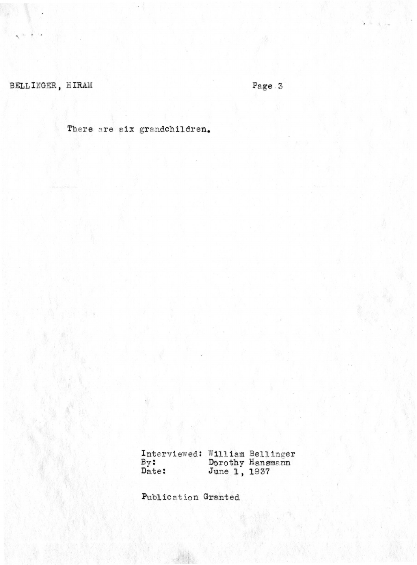BELLINGER, HIRAM

Page  $3$ 

There are six grandchildren.

Interviewed: William Bellinger<br>By: Dorothy Hansmann<br>Date: June 1, 1937

Publication Granted